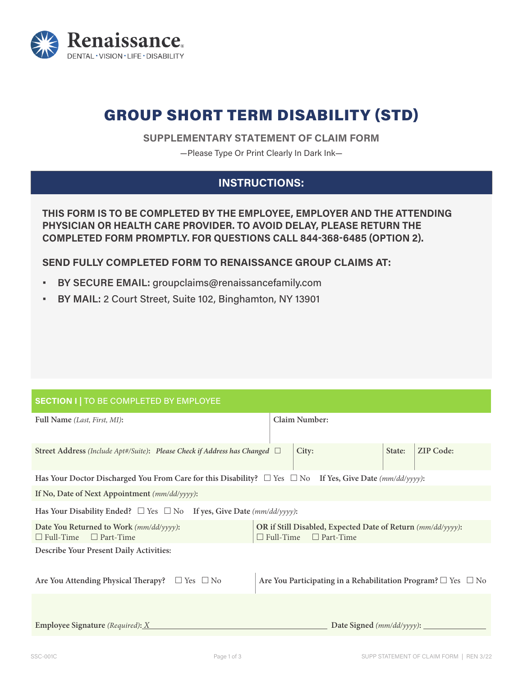

# GROUP SHORT TERM DISABILITY (STD)

**SUPPLEMENTARY STATEMENT OF CLAIM FORM**

—Please Type Or Print Clearly In Dark Ink—

# **INSTRUCTIONS:**

**THIS FORM IS TO BE COMPLETED BY THE EMPLOYEE, EMPLOYER AND THE ATTENDING PHYSICIAN OR HEALTH CARE PROVIDER. TO AVOID DELAY, PLEASE RETURN THE COMPLETED FORM PROMPTLY. FOR QUESTIONS CALL 844-368-6485 (OPTION 2).**

**SEND FULLY COMPLETED FORM TO RENAISSANCE GROUP CLAIMS AT:**

- **• BY SECURE EMAIL:** groupclaims@renaissancefamily.com
- **• BY MAIL:** 2 Court Street, Suite 102, Binghamton, NY 13901

### **SECTION I |** TO BE COMPLETED BY EMPLOYEE

| Full Name (Last, First, MI):                                                                                       | <b>Claim Number:</b>                                                                                |                            |  |  |
|--------------------------------------------------------------------------------------------------------------------|-----------------------------------------------------------------------------------------------------|----------------------------|--|--|
| Street Address (Include Apt#/Suite): Please Check if Address has Changed □                                         | City:                                                                                               | <b>ZIP Code:</b><br>State: |  |  |
| Has Your Doctor Discharged You From Care for this Disability? $\Box$ Yes $\Box$ No If Yes, Give Date (mm/dd/yyyy): |                                                                                                     |                            |  |  |
| If No, Date of Next Appointment (mm/dd/yyyy):                                                                      |                                                                                                     |                            |  |  |
| Has Your Disability Ended? $\Box$ Yes $\Box$ No If yes, Give Date (mm/dd/yyyy):                                    |                                                                                                     |                            |  |  |
| Date You Returned to Work (mm/dd/yyyy):<br>$\Box$ Full-Time<br>$\Box$ Part-Time                                    | OR if Still Disabled, Expected Date of Return (mm/dd/yyyy):<br>$\Box$ Full-Time<br>$\Box$ Part-Time |                            |  |  |
| Describe Your Present Daily Activities:                                                                            |                                                                                                     |                            |  |  |
| Are You Attending Physical Therapy? $\Box$ Yes $\Box$ No                                                           | Are You Participating in a Rehabilitation Program? $\Box$ Yes $\Box$ No                             |                            |  |  |
|                                                                                                                    |                                                                                                     |                            |  |  |
| <b>Employee Signature</b> (Required): $\underline{X}$                                                              | Date Signed $(mm/dd/yyyy)$ :                                                                        |                            |  |  |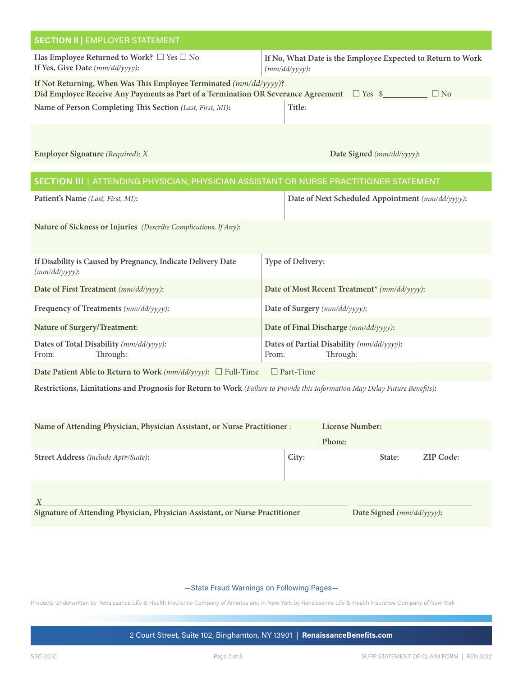| <b>SECTION II   EMPLOYER STATEMENT</b>                                                                                      |                                                                                 |  |  |
|-----------------------------------------------------------------------------------------------------------------------------|---------------------------------------------------------------------------------|--|--|
| Has Employee Returned to Work? $\Box$ Yes $\Box$ No<br>If Yes, Give Date (mm/dd/yyyy):                                      | If No, What Date is the Employee Expected to Return to Work<br>$(mm/dd/yyyy)$ : |  |  |
| If Not Returning, When Was This Employee Terminated (mm/dd/yyyy)?                                                           | $\Box$ No                                                                       |  |  |
| Name of Person Completing This Section (Last, First, MI):                                                                   | Title:                                                                          |  |  |
|                                                                                                                             |                                                                                 |  |  |
|                                                                                                                             |                                                                                 |  |  |
| SECTION III   ATTENDING PHYSICIAN, PHYSICIAN ASSISTANT OR NURSE PRACTITIONER STATEMENT                                      |                                                                                 |  |  |
| Patient's Name (Last, First, MI):                                                                                           | Date of Next Scheduled Appointment (mm/dd/yyyy):                                |  |  |
| Nature of Sickness or Injuries (Describe Complications, If Any):                                                            |                                                                                 |  |  |
| If Disability is Caused by Pregnancy, Indicate Delivery Date<br>$(mm/dd/yyyy)$ :                                            | Type of Delivery:                                                               |  |  |
| Date of First Treatment (mm/dd/yyyy):                                                                                       | Date of Most Recent Treatment* (mm/dd/yyyy):                                    |  |  |
| Frequency of Treatments (mm/dd/yyyy):                                                                                       | Date of Surgery (mm/dd/yyyy):                                                   |  |  |
| Nature of Surgery/Treatment:                                                                                                | Date of Final Discharge (mm/dd/yyyy):                                           |  |  |
| Dates of Total Disability (mm/dd/yyyy):<br>From: Through: Through:                                                          | Dates of Partial Disability (mm/dd/yyyy):<br>From: Through: Through:            |  |  |
| Date Patient Able to Return to Work ( $mm/dd/yyyy$ ): $\square$ Full-Time $\square$ Part-Time                               |                                                                                 |  |  |
| Restrictions, Limitations and Prognosis for Return to Work (Failure to Provide this Information May Delay Future Benefits): |                                                                                 |  |  |
|                                                                                                                             | License Number:                                                                 |  |  |
| Name of Attending Physician, Physician Assistant, or Nurse Practitioner:                                                    | Phone:                                                                          |  |  |
| Street Address (Include Apt#/Suite):                                                                                        | ZIP Code:<br>City:<br>State:                                                    |  |  |
|                                                                                                                             |                                                                                 |  |  |
| X<br>Signature of Attending Physician, Physician Assistant, or Nurse Practitioner                                           | Date Signed (mm/dd/yyyy):                                                       |  |  |

#### —State Fraud Warnings on Following Pages—

Products Underwritten by Renaissance Life & Health Insurance Company of America and in New York by Renaissance Life & Health Insurance Company of New York

2 Court Street, Suite 102, Binghamton, NY 13901 | **RenaissanceBenefits.com**